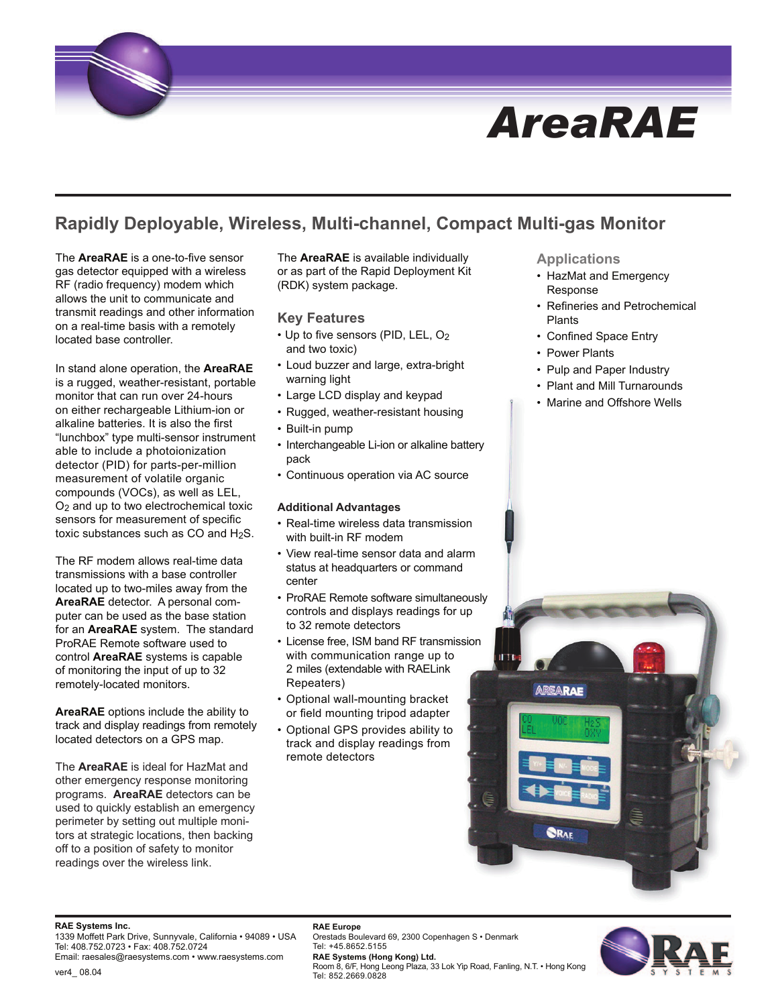# *AreaRAE*

## **Rapidly Deployable, Wireless, Multi-channel, Compact Multi-gas Monitor**

The **AreaRAE** is a one-to-five sensor gas detector equipped with a wireless RF (radio frequency) modem which allows the unit to communicate and transmit readings and other information on a real-time basis with a remotely located base controller.

In stand alone operation, the **AreaRAE** is a rugged, weather-resistant, portable monitor that can run over 24-hours on either rechargeable Lithium-ion or alkaline batteries. It is also the first "lunchbox" type multi-sensor instrument able to include a photoionization detector (PID) for parts-per-million measurement of volatile organic compounds (VOCs), as well as LEL, O2 and up to two electrochemical toxic sensors for measurement of specific toxic substances such as  $CO$  and  $H_2S$ .

The RF modem allows real-time data transmissions with a base controller located up to two-miles away from the **AreaRAE** detector. A personal computer can be used as the base station for an **AreaRAE** system. The standard ProRAE Remote software used to control **AreaRAE** systems is capable of monitoring the input of up to 32 remotely-located monitors.

**AreaRAE** options include the ability to track and display readings from remotely located detectors on a GPS map.

The **AreaRAE** is ideal for HazMat and other emergency response monitoring programs. **AreaRAE** detectors can be used to quickly establish an emergency perimeter by setting out multiple monitors at strategic locations, then backing off to a position of safety to monitor readings over the wireless link.

The **AreaRAE** is available individually or as part of the Rapid Deployment Kit (RDK) system package.

#### **Key Features**

- Up to five sensors (PID, LEL, O2 and two toxic)
- Loud buzzer and large, extra-bright warning light
- Large LCD display and keypad
- Rugged, weather-resistant housing
- Built-in pump
- Interchangeable Li-ion or alkaline battery pack
- Continuous operation via AC source

#### **Additional Advantages**

- Real-time wireless data transmission with built-in RF modem
- View real-time sensor data and alarm status at headquarters or command center
- ProRAE Remote software simultaneously controls and displays readings for up to 32 remote detectors
- License free, ISM band RF transmission with communication range up to 2 miles (extendable with RAELink Repeaters)
- Optional wall-mounting bracket or field mounting tripod adapter
- Optional GPS provides ability to track and display readings from remote detectors

**RAE Europe**

#### **Applications**

- HazMat and Emergency Response
- Refineries and Petrochemical Plants
- Confined Space Entry
- Power Plants
- Pulp and Paper Industry
- Plant and Mill Turnarounds
- Marine and Offshore Wells



#### **RAE Systems Inc.**

1339 Moffett Park Drive, Sunnyvale, California • 94089 • USA Tel: 408.752.0723 • Fax: 408.752.0724 Email: raesales@raesystems.com • www.raesystems.com

Tel: +45.8652.5155 **RAE Systems (Hong Kong) Ltd.** Room 8, 6/F, Hong Leong Plaza, 33 Lok Yip Road, Fanling, N.T. • Hong Kong Tel: 852.2669.0828

Orestads Boulevard 69, 2300 Copenhagen S • Denmark